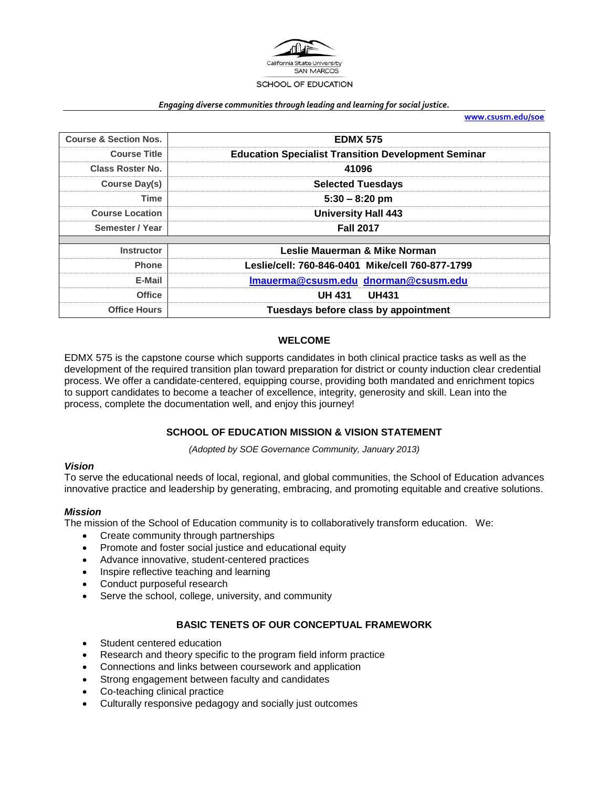

#### *Engaging diverse communities through leading and learning for social justice.*

**[www.csusm.edu/soe](http://www.csusm.edu/soe)**

| <b>Course &amp; Section Nos.</b> | <b>EDMX 575</b>                                            |  |
|----------------------------------|------------------------------------------------------------|--|
| <b>Course Title</b>              | <b>Education Specialist Transition Development Seminar</b> |  |
| <b>Class Roster No.</b>          | 41096                                                      |  |
| Course Day(s)                    | <b>Selected Tuesdays</b>                                   |  |
| Time                             | $5:30 - 8:20$ pm                                           |  |
| <b>Course Location</b>           | <b>University Hall 443</b>                                 |  |
| Semester / Year                  | <b>Fall 2017</b>                                           |  |
|                                  |                                                            |  |
| <b>Instructor</b>                | Leslie Mauerman & Mike Norman                              |  |
| <b>Phone</b>                     | Leslie/cell: 760-846-0401 Mike/cell 760-877-1799           |  |
| E-Mail                           | Imauerma@csusm.edu dnorman@csusm.edu                       |  |
| <b>Office</b>                    | <b>UH 431</b><br><b>UH431</b>                              |  |
| <b>Office Hours</b>              | Tuesdays before class by appointment                       |  |

#### **WELCOME**

EDMX 575 is the capstone course which supports candidates in both clinical practice tasks as well as the development of the required transition plan toward preparation for district or county induction clear credential process. We offer a candidate-centered, equipping course, providing both mandated and enrichment topics to support candidates to become a teacher of excellence, integrity, generosity and skill. Lean into the process, complete the documentation well, and enjoy this journey!

#### **SCHOOL OF EDUCATION MISSION & VISION STATEMENT**

*(Adopted by SOE Governance Community, January 2013)*

#### *Vision*

To serve the educational needs of local, regional, and global communities, the School of Education advances innovative practice and leadership by generating, embracing, and promoting equitable and creative solutions.

#### *Mission*

The mission of the School of Education community is to collaboratively transform education. We:

- Create community through partnerships
- Promote and foster social justice and educational equity
- Advance innovative, student-centered practices
- Inspire reflective teaching and learning
- Conduct purposeful research
- Serve the school, college, university, and community

#### **BASIC TENETS OF OUR CONCEPTUAL FRAMEWORK**

- Student centered education
- Research and theory specific to the program field inform practice
- Connections and links between coursework and application
- Strong engagement between faculty and candidates
- Co-teaching clinical practice
- Culturally responsive pedagogy and socially just outcomes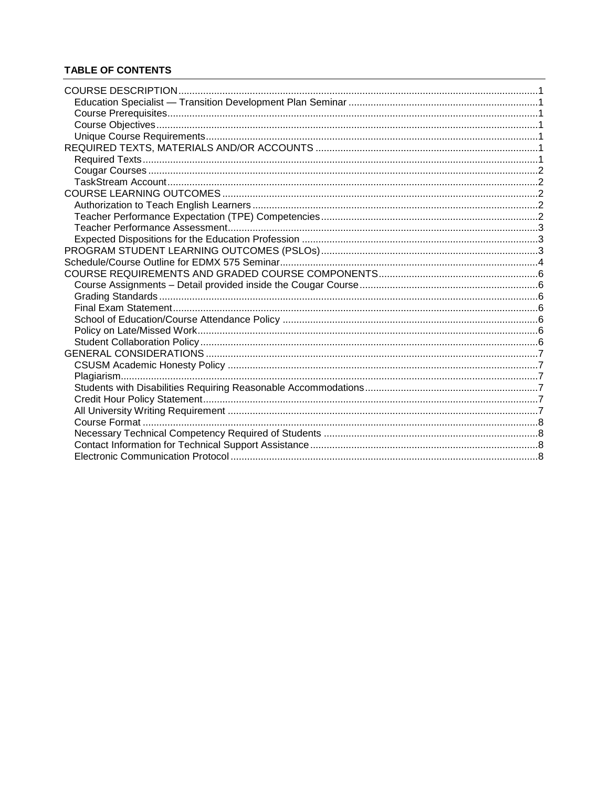## **TABLE OF CONTENTS**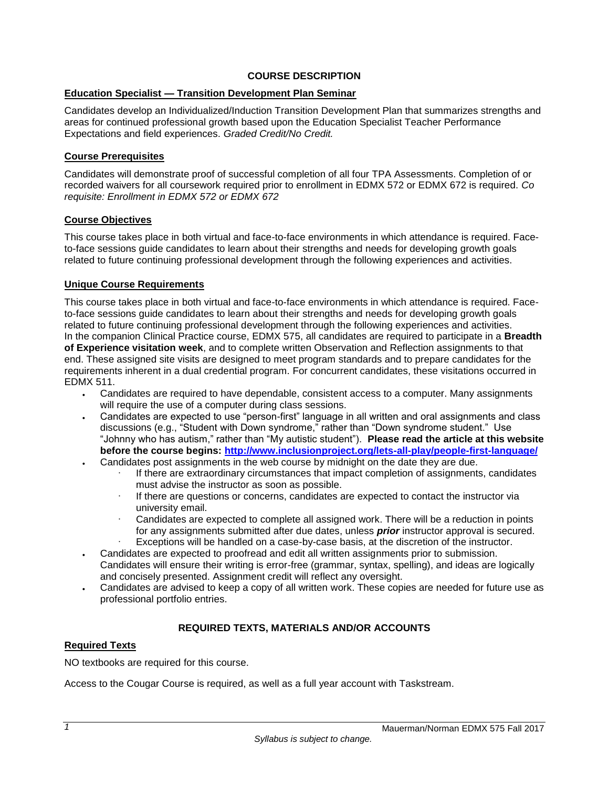### **COURSE DESCRIPTION**

### <span id="page-2-1"></span><span id="page-2-0"></span>**Education Specialist — Transition Development Plan Seminar**

Candidates develop an Individualized/Induction Transition Development Plan that summarizes strengths and areas for continued professional growth based upon the Education Specialist Teacher Performance Expectations and field experiences. *Graded Credit/No Credit.*

### <span id="page-2-2"></span>**Course Prerequisites**

Candidates will demonstrate proof of successful completion of all four TPA Assessments. Completion of or recorded waivers for all coursework required prior to enrollment in EDMX 572 or EDMX 672 is required. *Co requisite: Enrollment in EDMX 572 or EDMX 672*

### <span id="page-2-3"></span>**Course Objectives**

This course takes place in both virtual and face-to-face environments in which attendance is required. Faceto-face sessions guide candidates to learn about their strengths and needs for developing growth goals related to future continuing professional development through the following experiences and activities.

### <span id="page-2-4"></span>**Unique Course Requirements**

This course takes place in both virtual and face-to-face environments in which attendance is required. Faceto-face sessions guide candidates to learn about their strengths and needs for developing growth goals related to future continuing professional development through the following experiences and activities. In the companion Clinical Practice course, EDMX 575, all candidates are required to participate in a **Breadth of Experience visitation week**, and to complete written Observation and Reflection assignments to that end. These assigned site visits are designed to meet program standards and to prepare candidates for the requirements inherent in a dual credential program. For concurrent candidates, these visitations occurred in EDMX 511.

- Candidates are required to have dependable, consistent access to a computer. Many assignments will require the use of a computer during class sessions.
- Candidates are expected to use "person-first" language in all written and oral assignments and class discussions (e.g., "Student with Down syndrome," rather than "Down syndrome student." Use "Johnny who has autism," rather than "My autistic student"). **Please read the article at this website before the course begins:<http://www.inclusionproject.org/lets-all-play/people-first-language/>**
- Candidates post assignments in the web course by midnight on the date they are due.
	- If there are extraordinary circumstances that impact completion of assignments, candidates must advise the instructor as soon as possible.
	- If there are questions or concerns, candidates are expected to contact the instructor via university email.
	- Candidates are expected to complete all assigned work. There will be a reduction in points for any assignments submitted after due dates, unless *prior* instructor approval is secured. Exceptions will be handled on a case-by-case basis, at the discretion of the instructor.
- Candidates are expected to proofread and edit all written assignments prior to submission. Candidates will ensure their writing is error-free (grammar, syntax, spelling), and ideas are logically and concisely presented. Assignment credit will reflect any oversight.
- Candidates are advised to keep a copy of all written work. These copies are needed for future use as professional portfolio entries.

## **REQUIRED TEXTS, MATERIALS AND/OR ACCOUNTS**

### <span id="page-2-6"></span><span id="page-2-5"></span>**Required Texts**

NO textbooks are required for this course.

Access to the Cougar Course is required, as well as a full year account with Taskstream.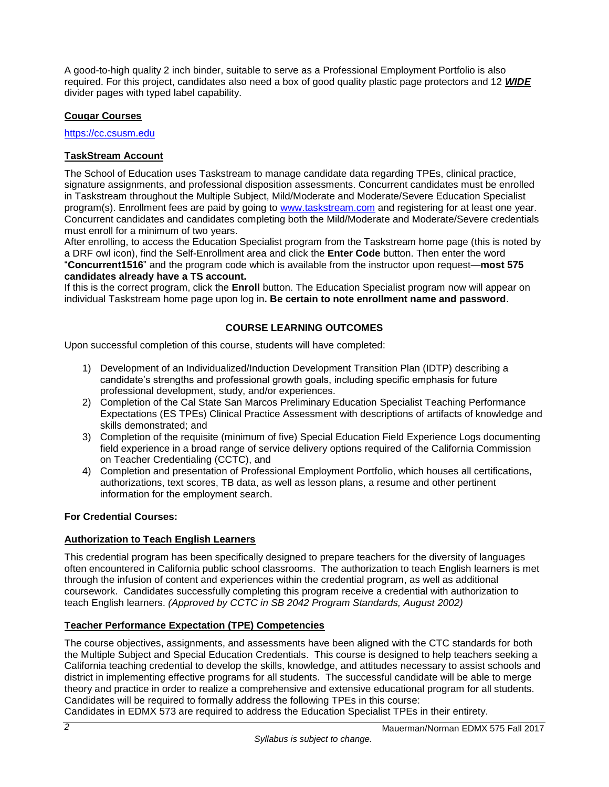A good-to-high quality 2 inch binder, suitable to serve as a Professional Employment Portfolio is also required. For this project, candidates also need a box of good quality plastic page protectors and 12 *WIDE* divider pages with typed label capability.

### <span id="page-3-0"></span>**Cougar Courses**

[https://cc.csusm.edu](https://cc.csusm.edu/)

## <span id="page-3-1"></span>**TaskStream Account**

The School of Education uses Taskstream to manage candidate data regarding TPEs, clinical practice, signature assignments, and professional disposition assessments. Concurrent candidates must be enrolled in Taskstream throughout the Multiple Subject, Mild/Moderate and Moderate/Severe Education Specialist program(s). Enrollment fees are paid by going to [www.taskstream.com](https://copilot.csusm.edu/owa/redir.aspx?C=JQGRF98_YUaQtaUmRLCQfVWnwmJwxs9IDInTVMhk81xWIUA7hRT2uY6jlnFWAAXDSUJtKsld_Qs.&URL=http%3a%2f%2fwww.taskstrem.com) and registering for at least one year. Concurrent candidates and candidates completing both the Mild/Moderate and Moderate/Severe credentials must enroll for a minimum of two years.

After enrolling, to access the Education Specialist program from the Taskstream home page (this is noted by a DRF owl icon), find the Self-Enrollment area and click the **Enter Code** button. Then enter the word "**Concurrent1516**" and the program code which is available from the instructor upon request—**most 575 candidates already have a TS account.**

If this is the correct program, click the **Enroll** button. The Education Specialist program now will appear on individual Taskstream home page upon log in**. Be certain to note enrollment name and password**.

## **COURSE LEARNING OUTCOMES**

<span id="page-3-2"></span>Upon successful completion of this course, students will have completed:

- 1) Development of an Individualized/Induction Development Transition Plan (IDTP) describing a candidate's strengths and professional growth goals, including specific emphasis for future professional development, study, and/or experiences.
- 2) Completion of the Cal State San Marcos Preliminary Education Specialist Teaching Performance Expectations (ES TPEs) Clinical Practice Assessment with descriptions of artifacts of knowledge and skills demonstrated; and
- 3) Completion of the requisite (minimum of five) Special Education Field Experience Logs documenting field experience in a broad range of service delivery options required of the California Commission on Teacher Credentialing (CCTC), and
- 4) Completion and presentation of Professional Employment Portfolio, which houses all certifications, authorizations, text scores, TB data, as well as lesson plans, a resume and other pertinent information for the employment search.

### **For Credential Courses:**

### <span id="page-3-3"></span>**Authorization to Teach English Learners**

This credential program has been specifically designed to prepare teachers for the diversity of languages often encountered in California public school classrooms. The authorization to teach English learners is met through the infusion of content and experiences within the credential program, as well as additional coursework. Candidates successfully completing this program receive a credential with authorization to teach English learners. *(Approved by CCTC in SB 2042 Program Standards, August 2002)*

## <span id="page-3-4"></span>**Teacher Performance Expectation (TPE) Competencies**

The course objectives, assignments, and assessments have been aligned with the CTC standards for both the Multiple Subject and Special Education Credentials. This course is designed to help teachers seeking a California teaching credential to develop the skills, knowledge, and attitudes necessary to assist schools and district in implementing effective programs for all students. The successful candidate will be able to merge theory and practice in order to realize a comprehensive and extensive educational program for all students. Candidates will be required to formally address the following TPEs in this course:

Candidates in EDMX 573 are required to address the Education Specialist TPEs in their entirety.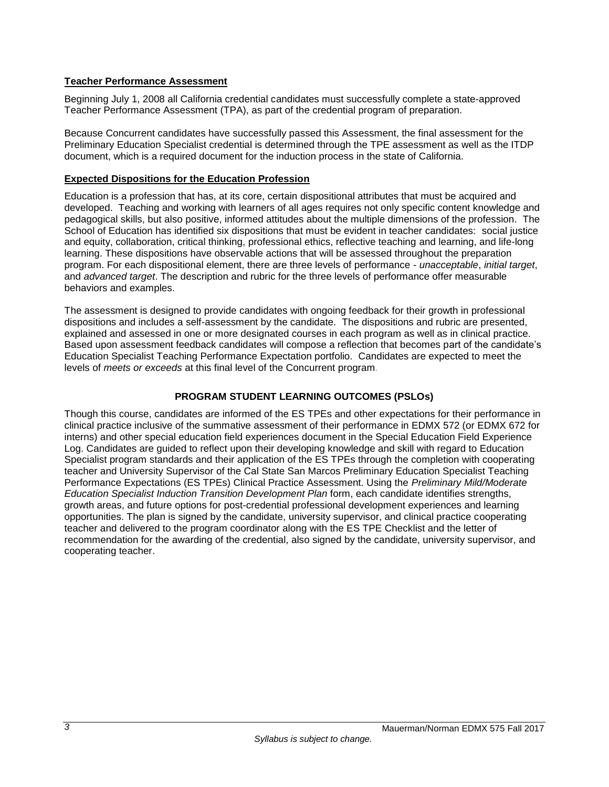### <span id="page-4-0"></span>**Teacher Performance Assessment**

Beginning July 1, 2008 all California credential candidates must successfully complete a state-approved Teacher Performance Assessment (TPA), as part of the credential program of preparation.

Because Concurrent candidates have successfully passed this Assessment, the final assessment for the Preliminary Education Specialist credential is determined through the TPE assessment as well as the ITDP document, which is a required document for the induction process in the state of California.

### <span id="page-4-1"></span>**Expected Dispositions for the Education Profession**

Education is a profession that has, at its core, certain dispositional attributes that must be acquired and developed. Teaching and working with learners of all ages requires not only specific content knowledge and pedagogical skills, but also positive, informed attitudes about the multiple dimensions of the profession. The School of Education has identified six dispositions that must be evident in teacher candidates: social justice and equity, collaboration, critical thinking, professional ethics, reflective teaching and learning, and life-long learning. These dispositions have observable actions that will be assessed throughout the preparation program. For each dispositional element, there are three levels of performance - *unacceptable*, *initial target*, and *advanced target*. The description and rubric for the three levels of performance offer measurable behaviors and examples.

The assessment is designed to provide candidates with ongoing feedback for their growth in professional dispositions and includes a self-assessment by the candidate. The dispositions and rubric are presented, explained and assessed in one or more designated courses in each program as well as in clinical practice. Based upon assessment feedback candidates will compose a reflection that becomes part of the candidate's Education Specialist Teaching Performance Expectation portfolio. Candidates are expected to meet the levels of *meets or exceeds* at this final level of the Concurrent program.

## **PROGRAM STUDENT LEARNING OUTCOMES (PSLOs)**

<span id="page-4-2"></span>Though this course, candidates are informed of the ES TPEs and other expectations for their performance in clinical practice inclusive of the summative assessment of their performance in EDMX 572 (or EDMX 672 for interns) and other special education field experiences document in the Special Education Field Experience Log. Candidates are guided to reflect upon their developing knowledge and skill with regard to Education Specialist program standards and their application of the ES TPEs through the completion with cooperating teacher and University Supervisor of the Cal State San Marcos Preliminary Education Specialist Teaching Performance Expectations (ES TPEs) Clinical Practice Assessment. Using the *Preliminary Mild/Moderate Education Specialist Induction Transition Development Plan* form, each candidate identifies strengths, growth areas, and future options for post-credential professional development experiences and learning opportunities. The plan is signed by the candidate, university supervisor, and clinical practice cooperating teacher and delivered to the program coordinator along with the ES TPE Checklist and the letter of recommendation for the awarding of the credential, also signed by the candidate, university supervisor, and cooperating teacher.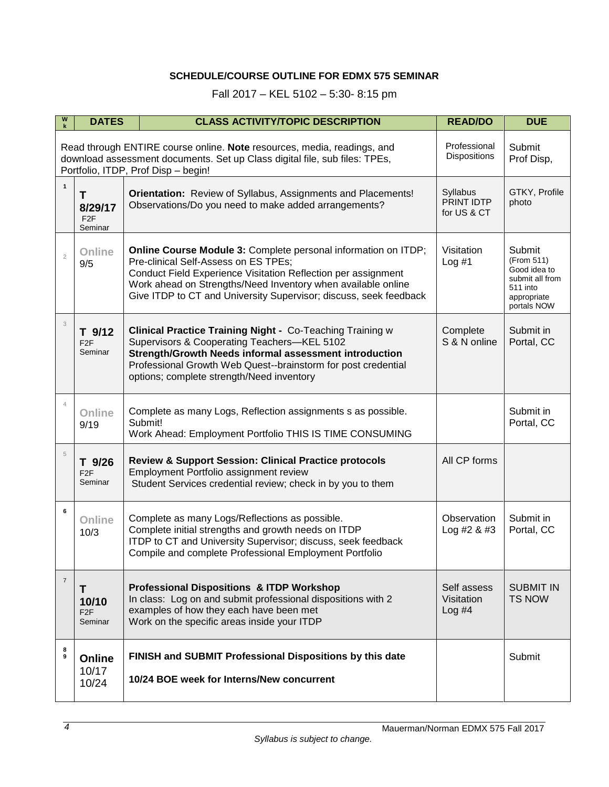# **SCHEDULE/COURSE OUTLINE FOR EDMX 575 SEMINAR**

Fall 2017 – KEL 5102 – 5:30- 8:15 pm

<span id="page-5-0"></span>

| W              | <b>DATES</b>                                                                                                                                                                                                                                                | <b>CLASS ACTIVITY/TOPIC DESCRIPTION</b>                                                                                                                                                                                                                                                                      | <b>READ/DO</b>                        | <b>DUE</b>                                                                                        |  |  |  |
|----------------|-------------------------------------------------------------------------------------------------------------------------------------------------------------------------------------------------------------------------------------------------------------|--------------------------------------------------------------------------------------------------------------------------------------------------------------------------------------------------------------------------------------------------------------------------------------------------------------|---------------------------------------|---------------------------------------------------------------------------------------------------|--|--|--|
|                | Professional<br>Submit<br>Read through ENTIRE course online. Note resources, media, readings, and<br><b>Dispositions</b><br>download assessment documents. Set up Class digital file, sub files: TPEs,<br>Prof Disp,<br>Portfolio, ITDP, Prof Disp - begin! |                                                                                                                                                                                                                                                                                                              |                                       |                                                                                                   |  |  |  |
| $\mathbf{1}$   | T<br>8/29/17<br>F <sub>2F</sub><br>Seminar                                                                                                                                                                                                                  | Orientation: Review of Syllabus, Assignments and Placements!<br>Observations/Do you need to make added arrangements?                                                                                                                                                                                         | Syllabus<br>PRINT IDTP<br>for US & CT | GTKY, Profile<br>photo                                                                            |  |  |  |
| $\overline{2}$ | Online<br>9/5                                                                                                                                                                                                                                               | Online Course Module 3: Complete personal information on ITDP;<br>Pre-clinical Self-Assess on ES TPEs;<br>Conduct Field Experience Visitation Reflection per assignment<br>Work ahead on Strengths/Need Inventory when available online<br>Give ITDP to CT and University Supervisor; discuss, seek feedback | Visitation<br>Log #1                  | Submit<br>(From 511)<br>Good idea to<br>submit all from<br>511 into<br>appropriate<br>portals NOW |  |  |  |
| 3              | T 9/12<br>F <sub>2</sub> F<br>Seminar                                                                                                                                                                                                                       | <b>Clinical Practice Training Night - Co-Teaching Training w</b><br>Supervisors & Cooperating Teachers-KEL 5102<br>Strength/Growth Needs informal assessment introduction<br>Professional Growth Web Quest--brainstorm for post credential<br>options; complete strength/Need inventory                      | Complete<br>S & N online              | Submit in<br>Portal, CC                                                                           |  |  |  |
| $\overline{4}$ | Online<br>9/19                                                                                                                                                                                                                                              | Complete as many Logs, Reflection assignments s as possible.<br>Submit!<br>Work Ahead: Employment Portfolio THIS IS TIME CONSUMING                                                                                                                                                                           |                                       | Submit in<br>Portal, CC                                                                           |  |  |  |
| 5              | T 9/26<br>F <sub>2</sub> F<br>Seminar                                                                                                                                                                                                                       | <b>Review &amp; Support Session: Clinical Practice protocols</b><br>Employment Portfolio assignment review<br>Student Services credential review; check in by you to them                                                                                                                                    | All CP forms                          |                                                                                                   |  |  |  |
| 6              | Online<br>10/3                                                                                                                                                                                                                                              | Complete as many Logs/Reflections as possible.<br>Complete initial strengths and growth needs on ITDP<br>ITDP to CT and University Supervisor; discuss, seek feedback<br>Compile and complete Professional Employment Portfolio                                                                              | Observation<br>Log #2 $&$ #3          | Submit in<br>Portal, CC                                                                           |  |  |  |
| $\overline{7}$ | Т<br>10/10<br>F <sub>2</sub> F<br>Seminar                                                                                                                                                                                                                   | <b>Professional Dispositions &amp; ITDP Workshop</b><br>In class: Log on and submit professional dispositions with 2<br>examples of how they each have been met<br>Work on the specific areas inside your ITDP                                                                                               | Self assess<br>Visitation<br>$Log$ #4 | <b>SUBMIT IN</b><br><b>TS NOW</b>                                                                 |  |  |  |
| 8<br>9         | Online<br>10/17<br>10/24                                                                                                                                                                                                                                    | FINISH and SUBMIT Professional Dispositions by this date<br>10/24 BOE week for Interns/New concurrent                                                                                                                                                                                                        |                                       | Submit                                                                                            |  |  |  |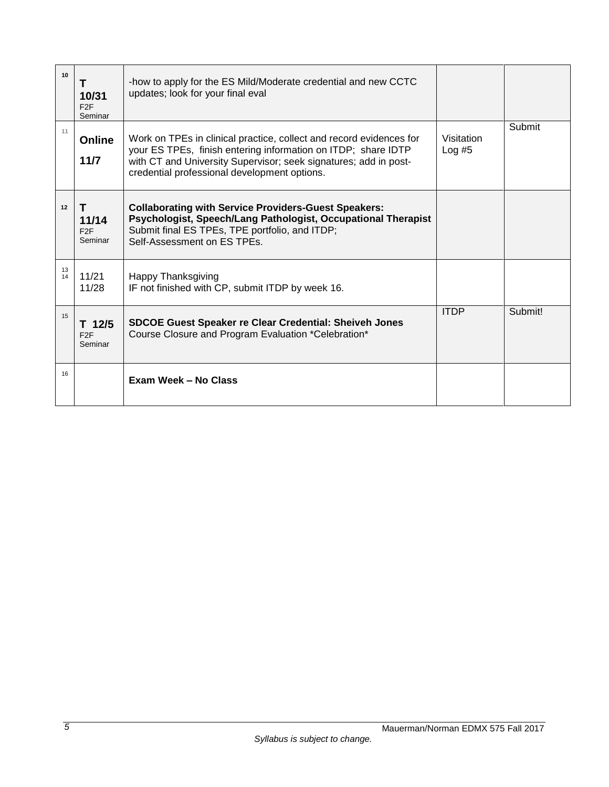| 10       | т<br>10/31<br>F <sub>2</sub> F<br>Seminar | -how to apply for the ES Mild/Moderate credential and new CCTC<br>updates; look for your final eval                                                                                                                                                      |                        |         |
|----------|-------------------------------------------|----------------------------------------------------------------------------------------------------------------------------------------------------------------------------------------------------------------------------------------------------------|------------------------|---------|
| 11       | <b>Online</b><br>$11/7$                   | Work on TPEs in clinical practice, collect and record evidences for<br>your ES TPEs, finish entering information on ITDP; share IDTP<br>with CT and University Supervisor; seek signatures; add in post-<br>credential professional development options. | Visitation<br>Log $#5$ | Submit  |
| 12       | T<br>11/14<br>F2F<br>Seminar              | <b>Collaborating with Service Providers-Guest Speakers:</b><br>Psychologist, Speech/Lang Pathologist, Occupational Therapist<br>Submit final ES TPEs, TPE portfolio, and ITDP;<br>Self-Assessment on ES TPEs.                                            |                        |         |
| 13<br>14 | 11/21<br>11/28                            | <b>Happy Thanksgiving</b><br>IF not finished with CP, submit ITDP by week 16.                                                                                                                                                                            |                        |         |
| 15       | $T$ 12/5<br>F <sub>2</sub> F<br>Seminar   | <b>SDCOE Guest Speaker re Clear Credential: Sheiveh Jones</b><br>Course Closure and Program Evaluation *Celebration*                                                                                                                                     | <b>ITDP</b>            | Submit! |
| 16       |                                           | Exam Week - No Class                                                                                                                                                                                                                                     |                        |         |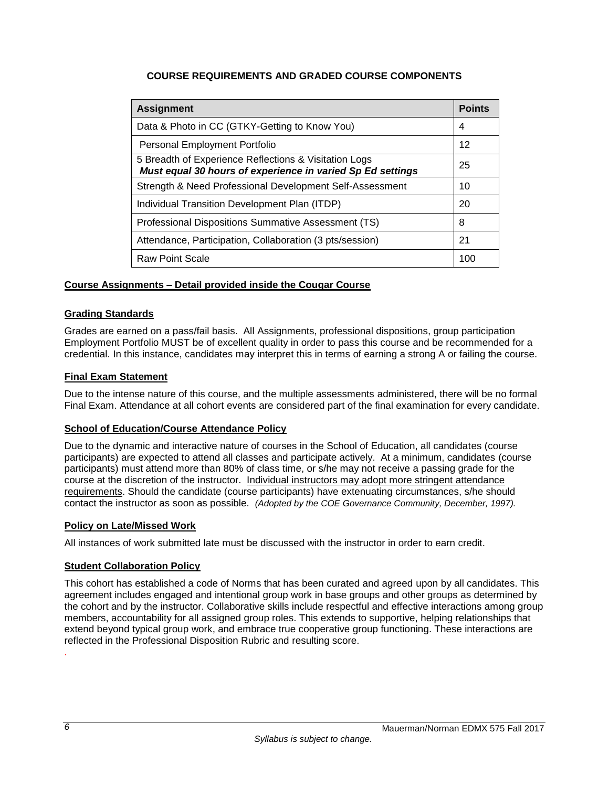## **COURSE REQUIREMENTS AND GRADED COURSE COMPONENTS**

<span id="page-7-0"></span>

| <b>Assignment</b>                                                                                                   | <b>Points</b> |  |
|---------------------------------------------------------------------------------------------------------------------|---------------|--|
| Data & Photo in CC (GTKY-Getting to Know You)                                                                       |               |  |
| Personal Employment Portfolio                                                                                       |               |  |
| 5 Breadth of Experience Reflections & Visitation Logs<br>Must equal 30 hours of experience in varied Sp Ed settings | 25            |  |
| Strength & Need Professional Development Self-Assessment                                                            | 10            |  |
| Individual Transition Development Plan (ITDP)                                                                       |               |  |
| Professional Dispositions Summative Assessment (TS)                                                                 |               |  |
| Attendance, Participation, Collaboration (3 pts/session)                                                            |               |  |
| <b>Raw Point Scale</b>                                                                                              | 100           |  |

### <span id="page-7-1"></span>**Course Assignments – Detail provided inside the Cougar Course**

### <span id="page-7-2"></span>**Grading Standards**

Grades are earned on a pass/fail basis. All Assignments, professional dispositions, group participation Employment Portfolio MUST be of excellent quality in order to pass this course and be recommended for a credential. In this instance, candidates may interpret this in terms of earning a strong A or failing the course.

### <span id="page-7-3"></span>**Final Exam Statement**

Due to the intense nature of this course, and the multiple assessments administered, there will be no formal Final Exam. Attendance at all cohort events are considered part of the final examination for every candidate.

#### <span id="page-7-4"></span>**School of Education/Course Attendance Policy**

Due to the dynamic and interactive nature of courses in the School of Education, all candidates (course participants) are expected to attend all classes and participate actively. At a minimum, candidates (course participants) must attend more than 80% of class time, or s/he may not receive a passing grade for the course at the discretion of the instructor. Individual instructors may adopt more stringent attendance requirements. Should the candidate (course participants) have extenuating circumstances, s/he should contact the instructor as soon as possible. *(Adopted by the COE Governance Community, December, 1997).*

#### <span id="page-7-5"></span>**Policy on Late/Missed Work**

All instances of work submitted late must be discussed with the instructor in order to earn credit.

### <span id="page-7-6"></span>**Student Collaboration Policy**

This cohort has established a code of Norms that has been curated and agreed upon by all candidates. This agreement includes engaged and intentional group work in base groups and other groups as determined by the cohort and by the instructor. Collaborative skills include respectful and effective interactions among group members, accountability for all assigned group roles. This extends to supportive, helping relationships that extend beyond typical group work, and embrace true cooperative group functioning. These interactions are reflected in the Professional Disposition Rubric and resulting score.

.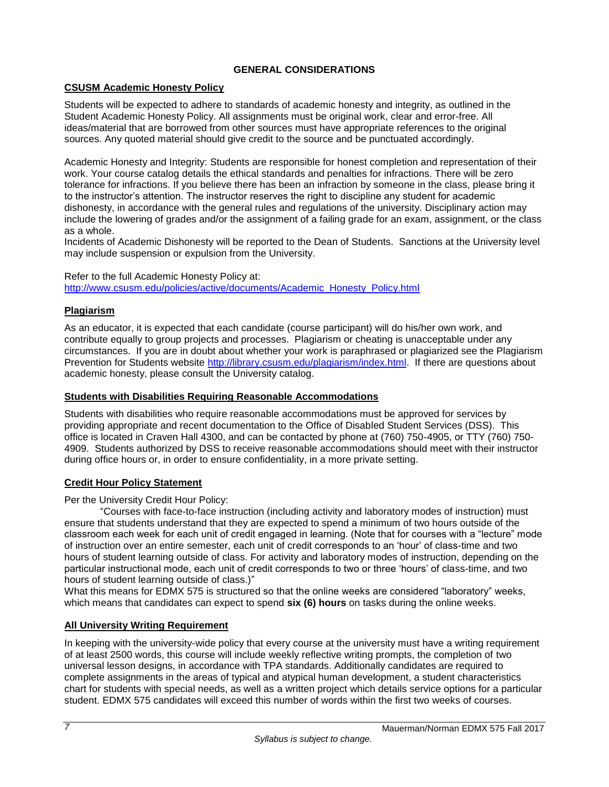## **GENERAL CONSIDERATIONS**

### <span id="page-8-1"></span><span id="page-8-0"></span>**CSUSM Academic Honesty Policy**

Students will be expected to adhere to standards of academic honesty and integrity, as outlined in the Student Academic Honesty Policy. All assignments must be original work, clear and error-free. All ideas/material that are borrowed from other sources must have appropriate references to the original sources. Any quoted material should give credit to the source and be punctuated accordingly.

Academic Honesty and Integrity: Students are responsible for honest completion and representation of their work. Your course catalog details the ethical standards and penalties for infractions. There will be zero tolerance for infractions. If you believe there has been an infraction by someone in the class, please bring it to the instructor's attention. The instructor reserves the right to discipline any student for academic dishonesty, in accordance with the general rules and regulations of the university. Disciplinary action may include the lowering of grades and/or the assignment of a failing grade for an exam, assignment, or the class as a whole.

Incidents of Academic Dishonesty will be reported to the Dean of Students. Sanctions at the University level may include suspension or expulsion from the University.

Refer to the full Academic Honesty Policy at: [http://www.csusm.edu/policies/active/documents/Academic\\_Honesty\\_Policy.html](http://www.csusm.edu/policies/active/documents/Academic_Honesty_Policy.html)

### <span id="page-8-2"></span>**Plagiarism**

As an educator, it is expected that each candidate (course participant) will do his/her own work, and contribute equally to group projects and processes. Plagiarism or cheating is unacceptable under any circumstances. If you are in doubt about whether your work is paraphrased or plagiarized see the Plagiarism Prevention for Students website [http://library.csusm.edu/plagiarism/index.html.](http://library.csusm.edu/plagiarism/index.html) If there are questions about academic honesty, please consult the University catalog.

#### <span id="page-8-3"></span>**Students with Disabilities Requiring Reasonable Accommodations**

Students with disabilities who require reasonable accommodations must be approved for services by providing appropriate and recent documentation to the Office of Disabled Student Services (DSS). This office is located in Craven Hall 4300, and can be contacted by phone at (760) 750-4905, or TTY (760) 750- 4909. Students authorized by DSS to receive reasonable accommodations should meet with their instructor during office hours or, in order to ensure confidentiality, in a more private setting.

### <span id="page-8-4"></span>**Credit Hour Policy Statement**

Per the University Credit Hour Policy:

"Courses with face-to-face instruction (including activity and laboratory modes of instruction) must ensure that students understand that they are expected to spend a minimum of two hours outside of the classroom each week for each unit of credit engaged in learning. (Note that for courses with a "lecture" mode of instruction over an entire semester, each unit of credit corresponds to an 'hour' of class-time and two hours of student learning outside of class. For activity and laboratory modes of instruction, depending on the particular instructional mode, each unit of credit corresponds to two or three 'hours' of class-time, and two hours of student learning outside of class.)"

What this means for EDMX 575 is structured so that the online weeks are considered "laboratory" weeks, which means that candidates can expect to spend **six (6) hours** on tasks during the online weeks.

### <span id="page-8-5"></span>**All University Writing Requirement**

In keeping with the university-wide policy that every course at the university must have a writing requirement of at least 2500 words, this course will include weekly reflective writing prompts, the completion of two universal lesson designs, in accordance with TPA standards. Additionally candidates are required to complete assignments in the areas of typical and atypical human development, a student characteristics chart for students with special needs, as well as a written project which details service options for a particular student. EDMX 575 candidates will exceed this number of words within the first two weeks of courses.